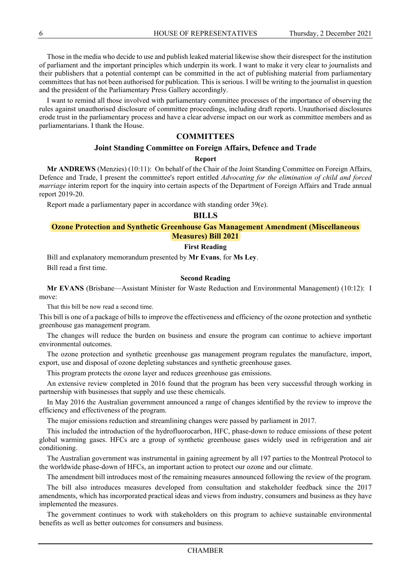Those in the media who decide to use and publish leaked material likewise show their disrespect for the institution of parliament and the important principles which underpin its work. I want to make it very clear to journalists and their publishers that a potential contempt can be committed in the act of publishing material from parliamentary committees that has not been authorised for publication. This is serious. I will be writing to the journalist in question and the president of the Parliamentary Press Gallery accordingly.

I want to remind all those involved with parliamentary committee processes of the importance of observing the rules against unauthorised disclosure of committee proceedings, including draft reports. Unauthorised disclosures erode trust in the parliamentary process and have a clear adverse impact on our work as committee members and as parliamentarians. I thank the House.

# **COMMITTEES**

### **Joint Standing Committee on Foreign Affairs, Defence and Trade**

#### **Report**

**Mr ANDREWS** (Menzies) (10:11): On behalf of the Chair of the Joint Standing Committee on Foreign Affairs, Defence and Trade, I present the committee's report entitled *Advocating for the elimination of child and forced marriage* interim report for the inquiry into certain aspects of the Department of Foreign Affairs and Trade annual report 2019-20.

Report made a parliamentary paper in accordance with standing order 39(e).

#### **BILLS**

### **Ozone Protection and Synthetic Greenhouse Gas Management Amendment (Miscellaneous Measures) Bill 2021**

#### **First Reading**

Bill and explanatory memorandum presented by **Mr Evans**, for **Ms Ley**. Bill read a first time.

#### **Second Reading**

**Mr EVANS** (Brisbane—Assistant Minister for Waste Reduction and Environmental Management) (10:12): I move:

That this bill be now read a second time.

This bill is one of a package of bills to improve the effectiveness and efficiency of the ozone protection and synthetic greenhouse gas management program.

The changes will reduce the burden on business and ensure the program can continue to achieve important environmental outcomes.

The ozone protection and synthetic greenhouse gas management program regulates the manufacture, import, export, use and disposal of ozone depleting substances and synthetic greenhouse gases.

This program protects the ozone layer and reduces greenhouse gas emissions.

An extensive review completed in 2016 found that the program has been very successful through working in partnership with businesses that supply and use these chemicals.

In May 2016 the Australian government announced a range of changes identified by the review to improve the efficiency and effectiveness of the program.

The major emissions reduction and streamlining changes were passed by parliament in 2017.

This included the introduction of the hydrofluorocarbon, HFC, phase-down to reduce emissions of these potent global warming gases. HFCs are a group of synthetic greenhouse gases widely used in refrigeration and air conditioning.

The Australian government was instrumental in gaining agreement by all 197 parties to the Montreal Protocol to the worldwide phase-down of HFCs, an important action to protect our ozone and our climate.

The amendment bill introduces most of the remaining measures announced following the review of the program.

The bill also introduces measures developed from consultation and stakeholder feedback since the 2017 amendments, which has incorporated practical ideas and views from industry, consumers and business as they have implemented the measures.

The government continues to work with stakeholders on this program to achieve sustainable environmental benefits as well as better outcomes for consumers and business.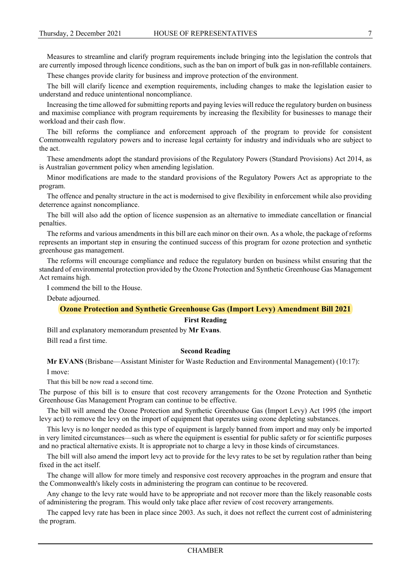Measures to streamline and clarify program requirements include bringing into the legislation the controls that are currently imposed through licence conditions, such as the ban on import of bulk gas in non-refillable containers.

These changes provide clarity for business and improve protection of the environment.

The bill will clarify licence and exemption requirements, including changes to make the legislation easier to understand and reduce unintentional noncompliance.

Increasing the time allowed for submitting reports and paying levies will reduce the regulatory burden on business and maximise compliance with program requirements by increasing the flexibility for businesses to manage their workload and their cash flow.

The bill reforms the compliance and enforcement approach of the program to provide for consistent Commonwealth regulatory powers and to increase legal certainty for industry and individuals who are subject to the act.

These amendments adopt the standard provisions of the Regulatory Powers (Standard Provisions) Act 2014, as is Australian government policy when amending legislation.

Minor modifications are made to the standard provisions of the Regulatory Powers Act as appropriate to the program.

The offence and penalty structure in the act is modernised to give flexibility in enforcement while also providing deterrence against noncompliance.

The bill will also add the option of licence suspension as an alternative to immediate cancellation or financial penalties.

The reforms and various amendments in this bill are each minor on their own. As a whole, the package of reforms represents an important step in ensuring the continued success of this program for ozone protection and synthetic greenhouse gas management.

The reforms will encourage compliance and reduce the regulatory burden on business whilst ensuring that the standard of environmental protection provided by the Ozone Protection and Synthetic Greenhouse Gas Management Act remains high.

I commend the bill to the House.

Debate adjourned.

# **Ozone Protection and Synthetic Greenhouse Gas (Import Levy) Amendment Bill 2021**

## **First Reading**

Bill and explanatory memorandum presented by **Mr Evans**. Bill read a first time.

# **Second Reading**

**Mr EVANS** (Brisbane—Assistant Minister for Waste Reduction and Environmental Management) (10:17): I move:

That this bill be now read a second time.

The purpose of this bill is to ensure that cost recovery arrangements for the Ozone Protection and Synthetic Greenhouse Gas Management Program can continue to be effective.

The bill will amend the Ozone Protection and Synthetic Greenhouse Gas (Import Levy) Act 1995 (the import levy act) to remove the levy on the import of equipment that operates using ozone depleting substances.

This levy is no longer needed as this type of equipment is largely banned from import and may only be imported in very limited circumstances—such as where the equipment is essential for public safety or for scientific purposes and no practical alternative exists. It is appropriate not to charge a levy in those kinds of circumstances.

The bill will also amend the import levy act to provide for the levy rates to be set by regulation rather than being fixed in the act itself.

The change will allow for more timely and responsive cost recovery approaches in the program and ensure that the Commonwealth's likely costs in administering the program can continue to be recovered.

Any change to the levy rate would have to be appropriate and not recover more than the likely reasonable costs of administering the program. This would only take place after review of cost recovery arrangements.

The capped levy rate has been in place since 2003. As such, it does not reflect the current cost of administering the program.